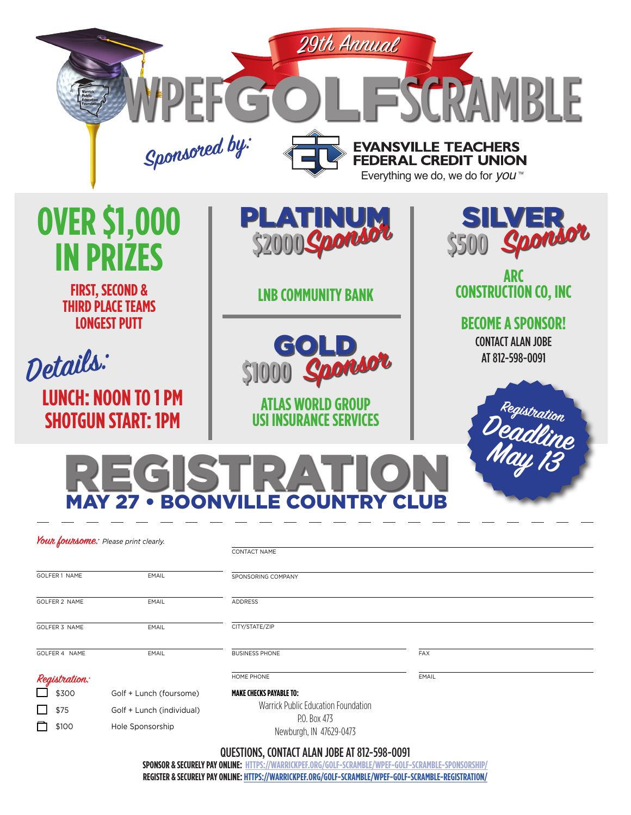

 $\Box$  \$300 Golf + Lunch (foursome)  $\Box$  \$75 Golf + Lunch (individual) **q \$100** Hole Sponsorship

**MAKE CHECKS PAYABLE TO:** Warrick Public Education Foundation P.O. Box 473

Newburgh, IN 47629-0473

QUESTIONS, CONTACT ALAN JOBE AT 812-598-0091

**SPONSOR & SECURELY PAY ONLINE: [HTTPS://WARRICKPEF.ORG/GOLF-SCRAMBLE/WPEF-GOLF-SCRAMBLE-SPONSORSHIP/](https://warrickpef.org/golf-scramble/wpef-golf-scramble-sponsorship/ ) REGISTER & SECURELY PAY ONLINE: [HTTPS://WARRICKPEF.ORG/GOLF-SCRAMBLE/WPEF-GOLF-SCRAMBLE-REGISTRATION/](https://warrickpef.org/golf-scramble/wpef-golf-scramble-registration/)**